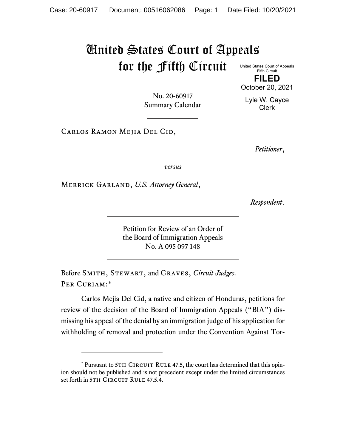## United States Court of Appeals for the Fifth Circuit

United States Court of Appeals Fifth Circuit **FILED**

October 20, 2021

Lyle W. Cayce Clerk

No. 20-60917 Summary Calendar

Carlos Ramon Mejia Del Cid,

*Petitioner*,

*versus*

Merrick Garland, *U.S. Attorney General*,

*Respondent*.

Petition for Review of an Order of the Board of Immigration Appeals No. A 095 097 148

Before Smith, Stewart, and Graves, *Circuit Judges*. PER CURIAM:[\\*](#page-0-0)

Carlos Mejia Del Cid, a native and citizen of Honduras, petitions for review of the decision of the Board of Immigration Appeals ("BIA") dismissing his appeal of the denial by an immigration judge of his application for withholding of removal and protection under the Convention Against Tor-

<span id="page-0-0"></span><sup>\*</sup> Pursuant to 5TH CIRCUIT RULE 47.5, the court has determined that this opinion should not be published and is not precedent except under the limited circumstances set forth in 5TH CIRCUIT RULE 47.5.4.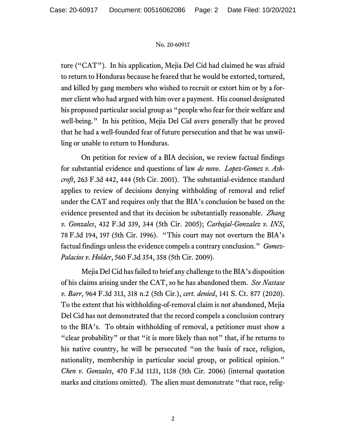## No. 20-60917

ture ("CAT"). In his application, Mejia Del Cid had claimed he was afraid to return to Honduras because he feared that he would be extorted, tortured, and killed by gang members who wished to recruit or extort him or by a former client who had argued with him over a payment. His counsel designated his proposed particular social group as "people who fear for their welfare and well-being." In his petition, Mejia Del Cid avers generally that he proved that he had a well-founded fear of future persecution and that he was unwilling or unable to return to Honduras.

On petition for review of a BIA decision, we review factual findings for substantial evidence and questions of law *de novo*. *Lopez-Gomez v. Ashcroft*, 263 F.3d 442, 444 (5th Cir. 2001). The substantial-evidence standard applies to review of decisions denying withholding of removal and relief under the CAT and requires only that the BIA's conclusion be based on the evidence presented and that its decision be substantially reasonable. *Zhang v. Gonzales*, 432 F.3d 339, 344 (5th Cir. 2005); *Carbajal-Gonzalez v. INS*, 78 F.3d 194, 197 (5th Cir. 1996). "This court may not overturn the BIA's factual findings unless the evidence compels a contrary conclusion." *Gomez-Palacios v. Holder*, 560 F.3d 354, 358 (5th Cir. 2009).

Mejia Del Cid has failed to brief any challenge to the BIA's disposition of his claims arising under the CAT, so he has abandoned them. *See Nastase v. Barr*, 964 F.3d 313, 318 n.2 (5th Cir.), *cert. denied*, 141 S. Ct. 877 (2020). To the extent that his withholding-of-removal claim is not abandoned, Mejia Del Cid has not demonstrated that the record compels a conclusion contrary to the BIA's. To obtain withholding of removal, a petitioner must show a "clear probability" or that "it is more likely than not" that, if he returns to his native country, he will be persecuted "on the basis of race, religion, nationality, membership in particular social group, or political opinion." *Chen v. Gonzales*, 470 F.3d 1131, 1138 (5th Cir. 2006) (internal quotation marks and citations omitted). The alien must demonstrate "that race, relig-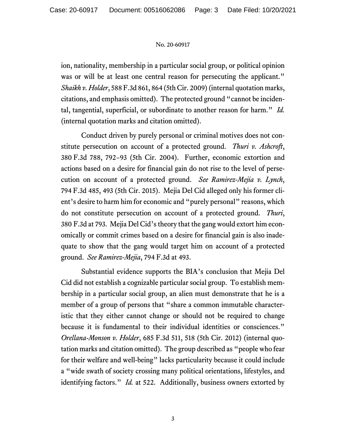## No. 20-60917

ion, nationality, membership in a particular social group, or political opinion was or will be at least one central reason for persecuting the applicant." *Shaikh v. Holder*, 588 F.3d 861, 864 (5th Cir. 2009) (internal quotation marks, citations, and emphasis omitted). The protected ground "cannot be incidental, tangential, superficial, or subordinate to another reason for harm." *Id.* (internal quotation marks and citation omitted).

Conduct driven by purely personal or criminal motives does not constitute persecution on account of a protected ground. *Thuri v. Ashcroft*, 380 F.3d 788, 792−93 (5th Cir. 2004). Further, economic extortion and actions based on a desire for financial gain do not rise to the level of persecution on account of a protected ground. *See Ramirez-Mejia v. Lynch*, 794 F.3d 485, 493 (5th Cir. 2015). Mejia Del Cid alleged only his former client's desire to harm him for economic and "purely personal" reasons, which do not constitute persecution on account of a protected ground. *Thuri*, 380 F.3d at 793. Mejia Del Cid's theory that the gang would extort him economically or commit crimes based on a desire for financial gain is also inadequate to show that the gang would target him on account of a protected ground. *See Ramirez-Mejia*, 794 F.3d at 493.

Substantial evidence supports the BIA's conclusion that Mejia Del Cid did not establish a cognizable particular social group. To establish membership in a particular social group, an alien must demonstrate that he is a member of a group of persons that "share a common immutable characteristic that they either cannot change or should not be required to change because it is fundamental to their individual identities or consciences." *Orellana-Monson v. Holder*, 685 F.3d 511, 518 (5th Cir. 2012) (internal quotation marks and citation omitted). The group described as "people who fear for their welfare and well-being" lacks particularity because it could include a "wide swath of society crossing many political orientations, lifestyles, and identifying factors." *Id.* at 522. Additionally, business owners extorted by